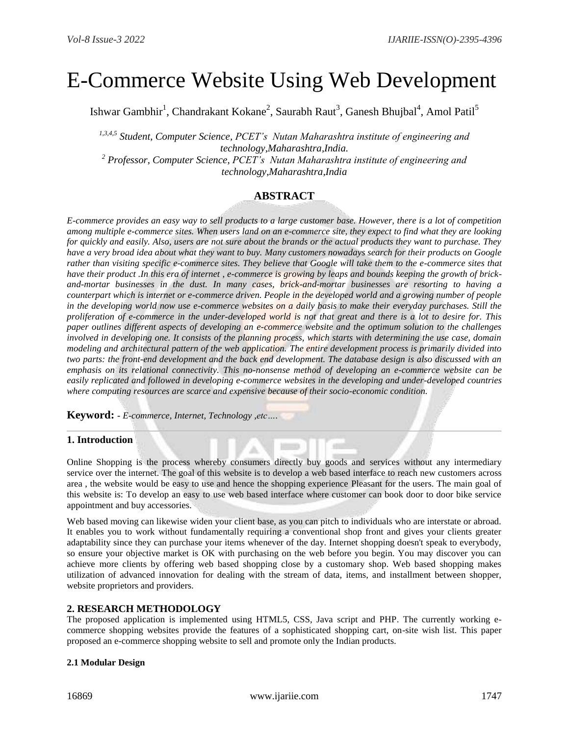# E-Commerce Website Using Web Development

Ishwar Gambhir $^1$ , Chandrakant Kokane $^2$ , Saurabh Raut $^3$ , Ganesh Bhujbal $^4$ , Amol Patil $^5$ 

*1,3,4,5 Student, Computer Science, PCET's Nutan Maharashtra institute of engineering and technology,Maharashtra,India.*

*<sup>2</sup> Professor, Computer Science, PCET's Nutan Maharashtra institute of engineering and technology,Maharashtra,India*

# **ABSTRACT**

*E-commerce provides an easy way to sell products to a large customer base. However, there is a lot of competition among multiple e-commerce sites. When users land on an e-commerce site, they expect to find what they are looking for quickly and easily. Also, users are not sure about the brands or the actual products they want to purchase. They have a very broad idea about what they want to buy. Many customers nowadays search for their products on Google rather than visiting specific e-commerce sites. They believe that Google will take them to the e-commerce sites that have their product .In this era of internet , e-commerce is growing by leaps and bounds keeping the growth of brickand-mortar businesses in the dust. In many cases, brick-and-mortar businesses are resorting to having a counterpart which is internet or e-commerce driven. People in the developed world and a growing number of people in the developing world now use e-commerce websites on a daily basis to make their everyday purchases. Still the proliferation of e-commerce in the under-developed world is not that great and there is a lot to desire for. This paper outlines different aspects of developing an e-commerce website and the optimum solution to the challenges involved in developing one. It consists of the planning process, which starts with determining the use case, domain modeling and architectural pattern of the web application. The entire development process is primarily divided into two parts: the front-end development and the back end development. The database design is also discussed with an emphasis on its relational connectivity. This no-nonsense method of developing an e-commerce website can be easily replicated and followed in developing e-commerce websites in the developing and under-developed countries where computing resources are scarce and expensive because of their socio-economic condition.*

**Keyword: -** *E-commerce, Internet, Technology ,etc….*

# **1. Introduction**

Online Shopping is the process whereby consumers directly buy goods and services without any intermediary service over the internet. The goal of this website is to develop a web based interface to reach new customers across area , the website would be easy to use and hence the shopping experience Pleasant for the users. The main goal of this website is: To develop an easy to use web based interface where customer can book door to door bike service appointment and buy accessories.

Web based moving can likewise widen your client base, as you can pitch to individuals who are interstate or abroad. It enables you to work without fundamentally requiring a conventional shop front and gives your clients greater adaptability since they can purchase your items whenever of the day. Internet shopping doesn't speak to everybody, so ensure your objective market is OK with purchasing on the web before you begin. You may discover you can achieve more clients by offering web based shopping close by a customary shop. Web based shopping makes utilization of advanced innovation for dealing with the stream of data, items, and installment between shopper, website proprietors and providers.

# **2. RESEARCH METHODOLOGY**

The proposed application is implemented using HTML5, CSS, Java script and PHP. The currently working ecommerce shopping websites provide the features of a sophisticated shopping cart, on-site wish list. This paper proposed an e-commerce shopping website to sell and promote only the Indian products.

# **2.1 Modular Design**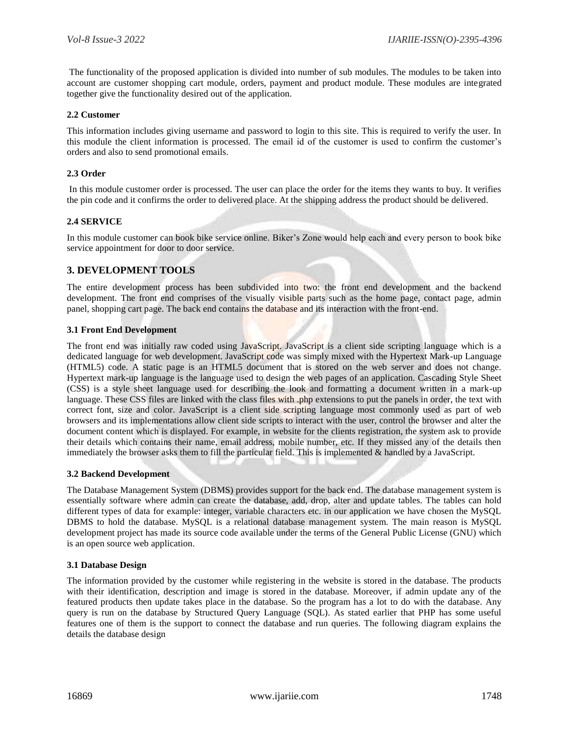The functionality of the proposed application is divided into number of sub modules. The modules to be taken into account are customer shopping cart module, orders, payment and product module. These modules are integrated together give the functionality desired out of the application.

## **2.2 Customer**

This information includes giving username and password to login to this site. This is required to verify the user. In this module the client information is processed. The email id of the customer is used to confirm the customer's orders and also to send promotional emails.

## **2.3 Order**

In this module customer order is processed. The user can place the order for the items they wants to buy. It verifies the pin code and it confirms the order to delivered place. At the shipping address the product should be delivered.

# **2.4 SERVICE**

In this module customer can book bike service online. Biker's Zone would help each and every person to book bike service appointment for door to door service.

# **3. DEVELOPMENT TOOLS**

The entire development process has been subdivided into two: the front end development and the backend development. The front end comprises of the visually visible parts such as the home page, contact page, admin panel, shopping cart page. The back end contains the database and its interaction with the front-end.

### **3.1 Front End Development**

The front end was initially raw coded using JavaScript. JavaScript is a client side scripting language which is a dedicated language for web development. JavaScript code was simply mixed with the Hypertext Mark-up Language (HTML5) code. A static page is an HTML5 document that is stored on the web server and does not change. Hypertext mark-up language is the language used to design the web pages of an application. Cascading Style Sheet (CSS) is a style sheet language used for describing the look and formatting a document written in a mark-up language. These CSS files are linked with the class files with .php extensions to put the panels in order, the text with correct font, size and color. JavaScript is a client side scripting language most commonly used as part of web browsers and its implementations allow client side scripts to interact with the user, control the browser and alter the document content which is displayed. For example, in website for the clients registration, the system ask to provide their details which contains their name, email address, mobile number, etc. If they missed any of the details then immediately the browser asks them to fill the particular field. This is implemented & handled by a JavaScript.

### **3.2 Backend Development**

The Database Management System (DBMS) provides support for the back end. The database management system is essentially software where admin can create the database, add, drop, alter and update tables. The tables can hold different types of data for example: integer, variable characters etc. in our application we have chosen the MySQL DBMS to hold the database. MySQL is a relational database management system. The main reason is MySQL development project has made its source code available under the terms of the General Public License (GNU) which is an open source web application.

### **3.1 Database Design**

The information provided by the customer while registering in the website is stored in the database. The products with their identification, description and image is stored in the database. Moreover, if admin update any of the featured products then update takes place in the database. So the program has a lot to do with the database. Any query is run on the database by Structured Query Language (SQL). As stated earlier that PHP has some useful features one of them is the support to connect the database and run queries. The following diagram explains the details the database design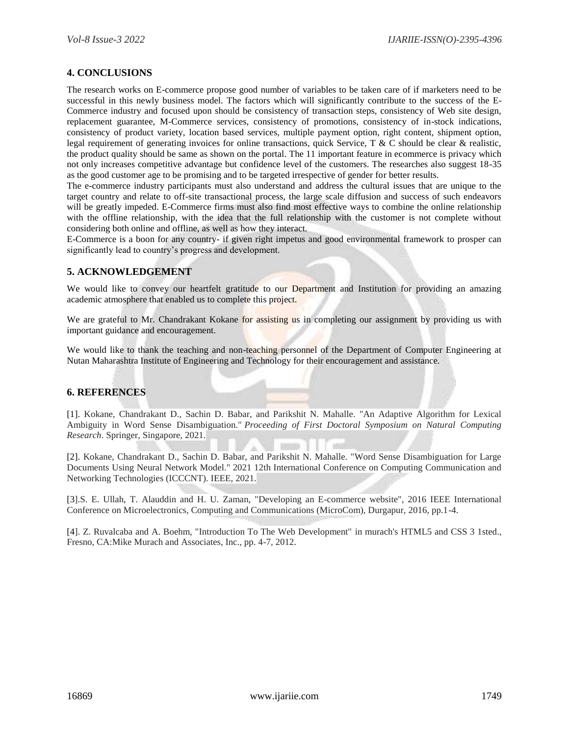# **4. CONCLUSIONS**

The research works on E-commerce propose good number of variables to be taken care of if marketers need to be successful in this newly business model. The factors which will significantly contribute to the success of the E-Commerce industry and focused upon should be consistency of transaction steps, consistency of Web site design, replacement guarantee, M-Commerce services, consistency of promotions, consistency of in-stock indications, consistency of product variety, location based services, multiple payment option, right content, shipment option, legal requirement of generating invoices for online transactions, quick Service, T & C should be clear & realistic, the product quality should be same as shown on the portal. The 11 important feature in ecommerce is privacy which not only increases competitive advantage but confidence level of the customers. The researches also suggest 18-35 as the good customer age to be promising and to be targeted irrespective of gender for better results.

The e-commerce industry participants must also understand and address the cultural issues that are unique to the target country and relate to off-site transactional process, the large scale diffusion and success of such endeavors will be greatly impeded. E-Commerce firms must also find most effective ways to combine the online relationship with the offline relationship, with the idea that the full relationship with the customer is not complete without considering both online and offline, as well as how they interact.

E-Commerce is a boon for any country- if given right impetus and good environmental framework to prosper can significantly lead to country's progress and development.

# **5. ACKNOWLEDGEMENT**

We would like to convey our heartfelt gratitude to our Department and Institution for providing an amazing academic atmosphere that enabled us to complete this project.

We are grateful to Mr. Chandrakant Kokane for assisting us in completing our assignment by providing us with important guidance and encouragement.

We would like to thank the teaching and non-teaching personnel of the Department of Computer Engineering at Nutan Maharashtra Institute of Engineering and Technology for their encouragement and assistance.

# **6. REFERENCES**

[1]. Kokane, Chandrakant D., Sachin D. Babar, and Parikshit N. Mahalle. "An Adaptive Algorithm for Lexical Ambiguity in Word Sense Disambiguation." *Proceeding of First Doctoral Symposium on Natural Computing Research*. Springer, Singapore, 2021.

[2]. Kokane, Chandrakant D., Sachin D. Babar, and Parikshit N. Mahalle. "Word Sense Disambiguation for Large Documents Using Neural Network Model." 2021 12th International Conference on Computing Communication and Networking Technologies (ICCCNT). IEEE, 2021.

[3].S. E. Ullah, T. Alauddin and H. U. Zaman, "Developing an E-commerce website", 2016 IEEE International Conference on Microelectronics, Computing and Communications (MicroCom), Durgapur, 2016, pp.1-4.

[4]. Z. Ruvalcaba and A. Boehm, "Introduction To The Web Development" in murach's HTML5 and CSS 3 1sted., Fresno, CA:Mike Murach and Associates, Inc., pp. 4-7, 2012.